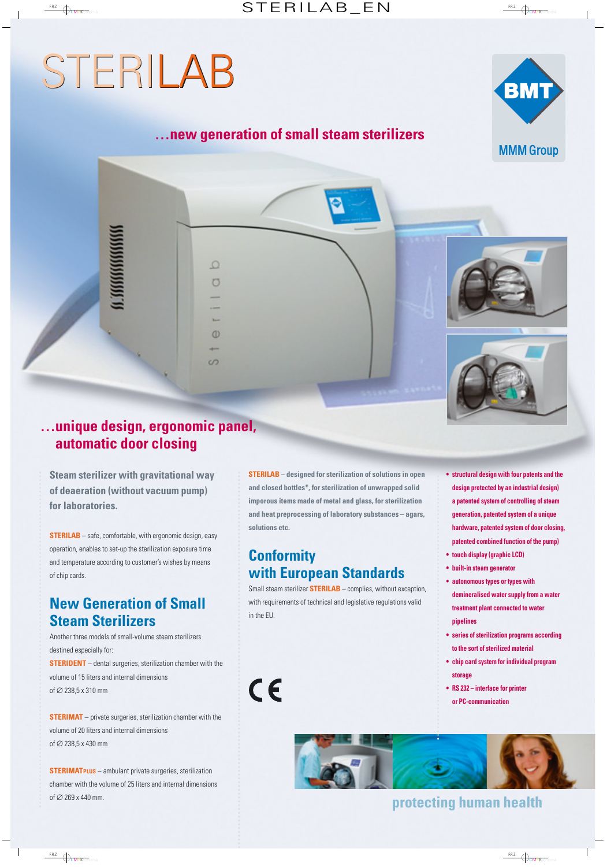# STERILAB STERILAB



## **…new generation of small steam sterilizers**



 $\Omega$  $\sigma$ 

 $\omega$ 

 $\sqrt{2}$ 

**Steam sterilizer with gravitational way of deaeration (without vacuum pump) for laboratories.**

**STERILAB** – safe, comfortable, with ergonomic design, easy operation, enables to set-up the sterilization exposure time and temperature according to customer's wishes by means of chip cards.

# **New Generation of Small Steam Sterilizers**

Another three models of small-volume steam sterilizers destined especially for: **STERIDENT** – dental surgeries, sterilization chamber with the volume of 15 liters and internal dimensions of ∅ 238,5 x 310 mm

**STERIMAT** – private surgeries, sterilization chamber with the volume of 20 liters and internal dimensions of ∅ 238,5 x 430 mm

**STERIMATPLUS** – ambulant private surgeries, sterilization chamber with the volume of 25 liters and internal dimensions of ∅ 269 x 440 mm.

**STERILAB – designed for sterilization of solutions in open and closed bottles\*, for sterilization of unwrapped solid imporous items made of metal and glass, for sterilization and heat preprocessing of laboratory substances – agars, solutions etc.**

## **Conformity with European Standards**

 $C<sub>6</sub>$ 

Small steam sterilizer **STERILAB** – complies, without exception, with requirements of technical and legislative regulations valid in the EU.

- **structural design with four patents and the design protected by an industrial design) a patented system of controlling of steam generation, patented system of a unique hardware, patented system of door closing, patented combined function of the pump)**
- **touch display (graphic LCD)**
- **built-in steam generator**
- **autonomous types or types with demineralised water supply from a water treatment plant connected to water pipelines**
- **series of sterilization programs according to the sort of sterilized material**
- **chip card system for individual program storage**
- **RS 232 interface for printer or PC-communication**



# **protecting human health**